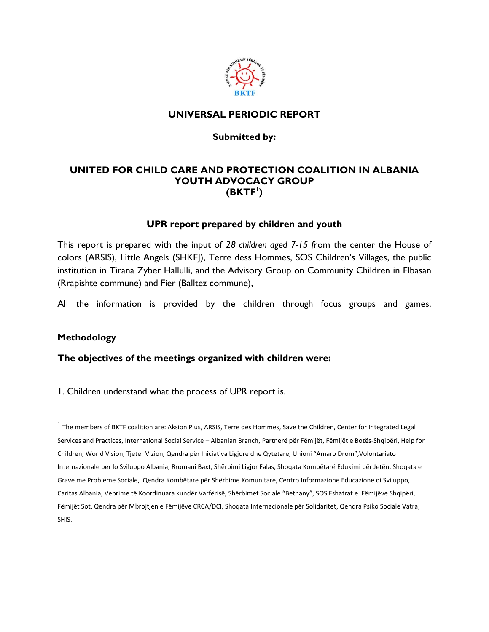

### **UNIVERSAL PERIODIC REPORT**

#### **Submitted by:**

### **UNITED FOR CHILD CARE AND PROTECTION COALITION IN ALBANIA YOUTH ADVOCACY GROUP (BKTF<sup>1</sup> )**

#### **UPR report prepared by children and youth**

This report is prepared with the input of *28 children aged 7-15 f*rom the center the House of colors (ARSIS), Little Angels (SHKEJ), Terre dess Hommes, SOS Children's Villages, the public institution in Tirana Zyber Hallulli, and the Advisory Group on Community Children in Elbasan (Rrapishte commune) and Fier (Balltez commune),

All the information is provided by the children through focus groups and games.

#### **Methodology**

 $\overline{\phantom{a}}$ 

**The objectives of the meetings organized with children were:** 

1. Children understand what the process of UPR report is.

 $^1$  The members of BKTF coalition are: Aksion Plus, ARSIS, Terre des Hommes, Save the Children, Center for Integrated Legal Services and Practices, International Social Service – Albanian Branch, Partnerë për Fëmijët, Fëmijët e Botës-Shqipëri, Help for Children, World Vision, Tjeter Vizion, Qendra për Iniciativa Ligjore dhe Qytetare, Unioni "Amaro Drom",Volontariato Internazionale per lo Sviluppo Albania, Rromani Baxt, Shërbimi Ligjor Falas, Shoqata Kombëtarë Edukimi për Jetën, Shoqata e Grave me Probleme Sociale, Qendra Kombëtare për Shërbime Komunitare, Centro Informazione Educazione di Sviluppo, Caritas Albania, Veprime të Koordinuara kundër Varfërisë, Shërbimet Sociale "Bethany", SOS Fshatrat e Fëmijëve Shqipëri, Fëmijët Sot, Qendra për Mbrojtjen e Fëmijëve CRCA/DCI, Shoqata Internacionale për Solidaritet, Qendra Psiko Sociale Vatra, SHIS.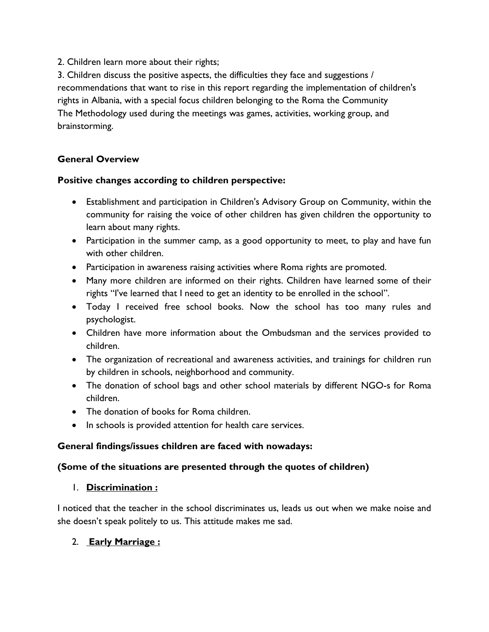2. Children learn more about their rights;

3. Children discuss the positive aspects, the difficulties they face and suggestions / recommendations that want to rise in this report regarding the implementation of children's rights in Albania, with a special focus children belonging to the Roma the Community The Methodology used during the meetings was games, activities, working group, and brainstorming.

## **General Overview**

### **Positive changes according to children perspective:**

- Establishment and participation in Children's Advisory Group on Community, within the community for raising the voice of other children has given children the opportunity to learn about many rights.
- Participation in the summer camp, as a good opportunity to meet, to play and have fun with other children.
- Participation in awareness raising activities where Roma rights are promoted.
- Many more children are informed on their rights. Children have learned some of their rights "I've learned that I need to get an identity to be enrolled in the school".
- Today I received free school books. Now the school has too many rules and psychologist.
- Children have more information about the Ombudsman and the services provided to children.
- The organization of recreational and awareness activities, and trainings for children run by children in schools, neighborhood and community.
- The donation of school bags and other school materials by different NGO-s for Roma children.
- The donation of books for Roma children.
- In schools is provided attention for health care services.

## **General findings/issues children are faced with nowadays:**

### **(Some of the situations are presented through the quotes of children)**

### 1. **Discrimination :**

I noticed that the teacher in the school discriminates us, leads us out when we make noise and she doesn't speak politely to us. This attitude makes me sad.

## 2. **Early Marriage :**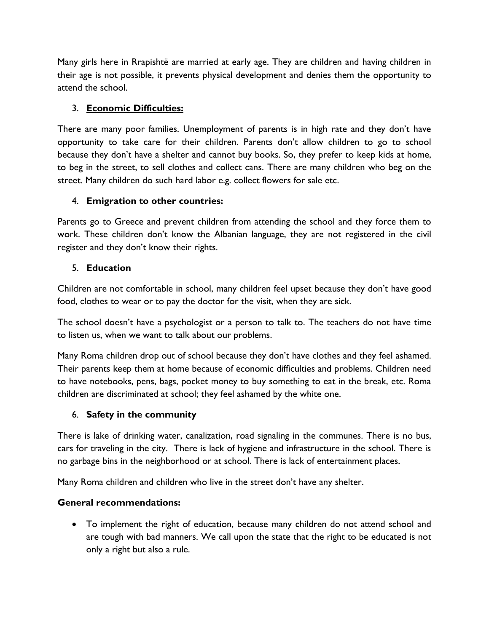Many girls here in Rrapishtë are married at early age. They are children and having children in their age is not possible, it prevents physical development and denies them the opportunity to attend the school.

# 3. **Economic Difficulties:**

There are many poor families. Unemployment of parents is in high rate and they don't have opportunity to take care for their children. Parents don't allow children to go to school because they don't have a shelter and cannot buy books. So, they prefer to keep kids at home, to beg in the street, to sell clothes and collect cans. There are many children who beg on the street. Many children do such hard labor e.g. collect flowers for sale etc.

## 4. **Emigration to other countries:**

Parents go to Greece and prevent children from attending the school and they force them to work. These children don't know the Albanian language, they are not registered in the civil register and they don't know their rights.

## 5. **Education**

Children are not comfortable in school, many children feel upset because they don't have good food, clothes to wear or to pay the doctor for the visit, when they are sick.

The school doesn't have a psychologist or a person to talk to. The teachers do not have time to listen us, when we want to talk about our problems.

Many Roma children drop out of school because they don't have clothes and they feel ashamed. Their parents keep them at home because of economic difficulties and problems. Children need to have notebooks, pens, bags, pocket money to buy something to eat in the break, etc. Roma children are discriminated at school; they feel ashamed by the white one.

### 6. **Safety in the community**

There is lake of drinking water, canalization, road signaling in the communes. There is no bus, cars for traveling in the city. There is lack of hygiene and infrastructure in the school. There is no garbage bins in the neighborhood or at school. There is lack of entertainment places.

Many Roma children and children who live in the street don't have any shelter.

## **General recommendations:**

 To implement the right of education, because many children do not attend school and are tough with bad manners. We call upon the state that the right to be educated is not only a right but also a rule.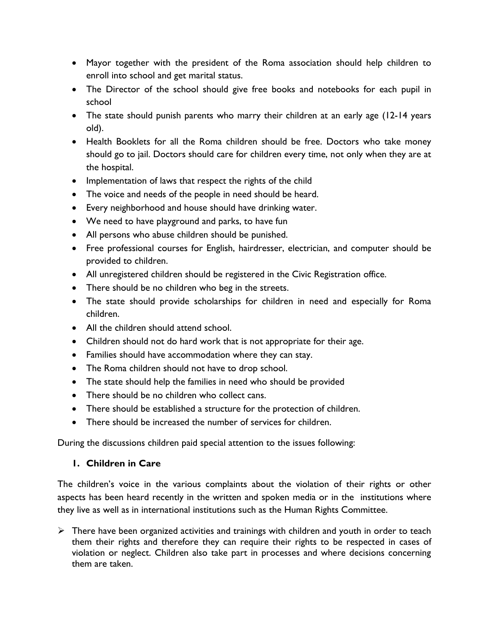- Mayor together with the president of the Roma association should help children to enroll into school and get marital status.
- The Director of the school should give free books and notebooks for each pupil in school
- The state should punish parents who marry their children at an early age (12-14 years old).
- Health Booklets for all the Roma children should be free. Doctors who take money should go to jail. Doctors should care for children every time, not only when they are at the hospital.
- Implementation of laws that respect the rights of the child
- The voice and needs of the people in need should be heard.
- Every neighborhood and house should have drinking water.
- We need to have playground and parks, to have fun
- All persons who abuse children should be punished.
- Free professional courses for English, hairdresser, electrician, and computer should be provided to children.
- All unregistered children should be registered in the Civic Registration office.
- There should be no children who beg in the streets.
- The state should provide scholarships for children in need and especially for Roma children.
- All the children should attend school.
- Children should not do hard work that is not appropriate for their age.
- Families should have accommodation where they can stay.
- The Roma children should not have to drop school.
- The state should help the families in need who should be provided
- There should be no children who collect cans.
- There should be established a structure for the protection of children.
- There should be increased the number of services for children.

During the discussions children paid special attention to the issues following:

## **1. Children in Care**

The children's voice in the various complaints about the violation of their rights or other aspects has been heard recently in the written and spoken media or in the institutions where they live as well as in international institutions such as the Human Rights Committee.

 $\triangleright$  There have been organized activities and trainings with children and youth in order to teach them their rights and therefore they can require their rights to be respected in cases of violation or neglect. Children also take part in processes and where decisions concerning them are taken.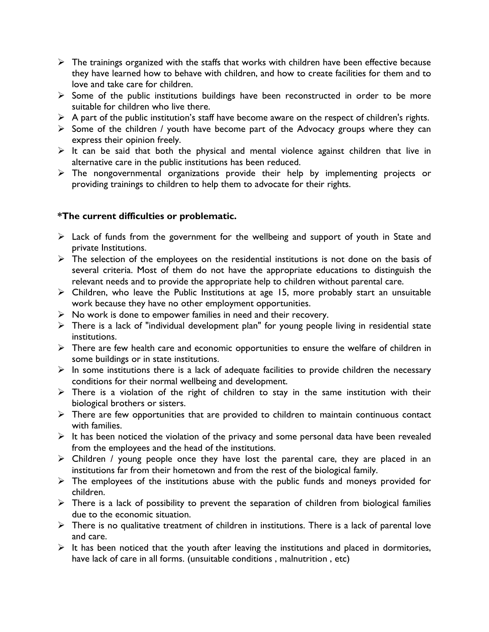- $\triangleright$  The trainings organized with the staffs that works with children have been effective because they have learned how to behave with children, and how to create facilities for them and to love and take care for children.
- $\triangleright$  Some of the public institutions buildings have been reconstructed in order to be more suitable for children who live there.
- $\triangleright$  A part of the public institution's staff have become aware on the respect of children's rights.
- $\triangleright$  Some of the children / youth have become part of the Advocacy groups where they can express their opinion freely.
- $\triangleright$  It can be said that both the physical and mental violence against children that live in alternative care in the public institutions has been reduced.
- $\triangleright$  The nongovernmental organizations provide their help by implementing projects or providing trainings to children to help them to advocate for their rights.

### **\*The current difficulties or problematic.**

- $\triangleright$  Lack of funds from the government for the wellbeing and support of youth in State and private Institutions.
- $\triangleright$  The selection of the employees on the residential institutions is not done on the basis of several criteria. Most of them do not have the appropriate educations to distinguish the relevant needs and to provide the appropriate help to children without parental care.
- Children, who leave the Public Institutions at age 15, more probably start an unsuitable work because they have no other employment opportunities.
- $\triangleright$  No work is done to empower families in need and their recovery.
- $\triangleright$  There is a lack of "individual development plan" for young people living in residential state institutions.
- $\triangleright$  There are few health care and economic opportunities to ensure the welfare of children in some buildings or in state institutions.
- $\triangleright$  In some institutions there is a lack of adequate facilities to provide children the necessary conditions for their normal wellbeing and development.
- $\triangleright$  There is a violation of the right of children to stay in the same institution with their biological brothers or sisters.
- $\triangleright$  There are few opportunities that are provided to children to maintain continuous contact with families.
- $\triangleright$  It has been noticed the violation of the privacy and some personal data have been revealed from the employees and the head of the institutions.
- $\triangleright$  Children / young people once they have lost the parental care, they are placed in an institutions far from their hometown and from the rest of the biological family.
- $\triangleright$  The employees of the institutions abuse with the public funds and moneys provided for children.
- $\triangleright$  There is a lack of possibility to prevent the separation of children from biological families due to the economic situation.
- $\triangleright$  There is no qualitative treatment of children in institutions. There is a lack of parental love and care.
- $\triangleright$  It has been noticed that the youth after leaving the institutions and placed in dormitories, have lack of care in all forms. (unsuitable conditions, malnutrition, etc)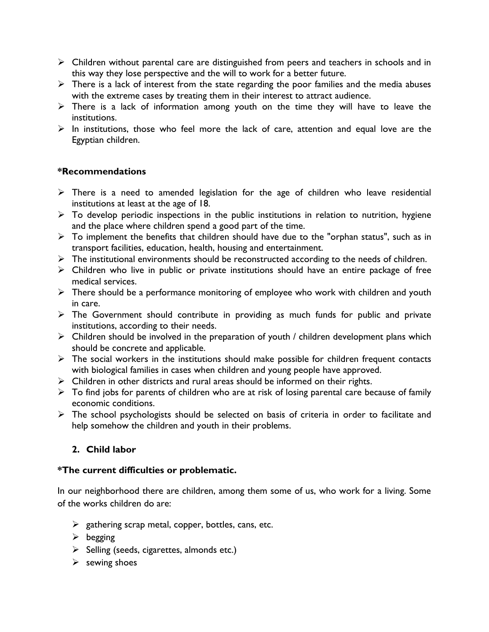- $\triangleright$  Children without parental care are distinguished from peers and teachers in schools and in this way they lose perspective and the will to work for a better future.
- $\triangleright$  There is a lack of interest from the state regarding the poor families and the media abuses with the extreme cases by treating them in their interest to attract audience.
- $\triangleright$  There is a lack of information among youth on the time they will have to leave the institutions.
- $\triangleright$  In institutions, those who feel more the lack of care, attention and equal love are the Egyptian children.

### **\*Recommendations**

- $\triangleright$  There is a need to amended legislation for the age of children who leave residential institutions at least at the age of 18.
- $\triangleright$  To develop periodic inspections in the public institutions in relation to nutrition, hygiene and the place where children spend a good part of the time.
- $\triangleright$  To implement the benefits that children should have due to the "orphan status", such as in transport facilities, education, health, housing and entertainment.
- $\triangleright$  The institutional environments should be reconstructed according to the needs of children.
- Children who live in public or private institutions should have an entire package of free medical services.
- $\triangleright$  There should be a performance monitoring of employee who work with children and youth in care.
- $\triangleright$  The Government should contribute in providing as much funds for public and private institutions, according to their needs.
- $\triangleright$  Children should be involved in the preparation of youth / children development plans which should be concrete and applicable.
- $\triangleright$  The social workers in the institutions should make possible for children frequent contacts with biological families in cases when children and young people have approved.
- $\triangleright$  Children in other districts and rural areas should be informed on their rights.
- $\triangleright$  To find jobs for parents of children who are at risk of losing parental care because of family economic conditions.
- $\triangleright$  The school psychologists should be selected on basis of criteria in order to facilitate and help somehow the children and youth in their problems.

### **2. Child labor**

#### **\*The current difficulties or problematic.**

In our neighborhood there are children, among them some of us, who work for a living. Some of the works children do are:

- $\triangleright$  gathering scrap metal, copper, bottles, cans, etc.
- $\triangleright$  begging
- $\triangleright$  Selling (seeds, cigarettes, almonds etc.)
- $\triangleright$  sewing shoes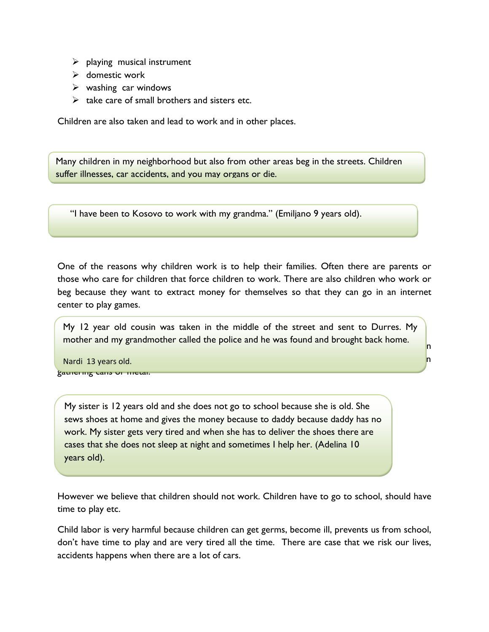- $\triangleright$  playing musical instrument
- $\triangleright$  domestic work
- $\triangleright$  washing car windows
- $\triangleright$  take care of small brothers and sisters etc.

Children are also taken and lead to work and in other places.

Many children in my neighborhood but also from other areas beg in the streets. Children suffer illnesses, car accidents, and you may organs or die.

"I have been to Kosovo to work with my grandma." (Emiljano 9 years old).

One of the reasons why children work is to help their families. Often there are parents or those who care for children that force children to work. There are also children who work or beg because they want to extract money for themselves so that they can go in an internet center to play games.

The types of working  $\frac{1}{2}$  and notice canceled the police and net was found and biloaght back home. My 12 year old cousin was taken in the middle of the street and sent to Durres. My mother and my grandmother called the police and he was found and brought back home.

factories or in domestic works and less in collecting bottles. While bottless in the more found in the more found in gathering cans or metal.

My sister is 12 years old and she does not go to school because she is old. She sews shoes at home and gives the money because to daddy because daddy has no work. My sister gets very tired and when she has to deliver the shoes there are cases that she does not sleep at night and sometimes I help her. (Adelina 10 years old).

However we believe that children should not work. Children have to go to school, should have time to play etc.

Child labor is very harmful because children can get germs, become ill, prevents us from school, don't have time to play and are very tired all the time. There are case that we risk our lives, accidents happens when there are a lot of cars.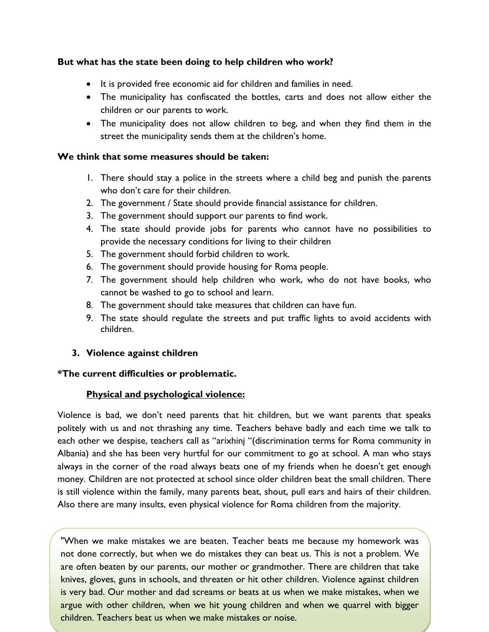#### **But what has the state been doing to help children who work?**

- It is provided free economic aid for children and families in need.
- The municipality has confiscated the bottles, carts and does not allow either the children or our parents to work.
- The municipality does not allow children to beg, and when they find them in the street the municipality sends them at the children's home.

#### **We think that some measures should be taken:**

- 1. There should stay a police in the streets where a child beg and punish the parents who don't care for their children.
- 2. The government / State should provide financial assistance for children.
- 3. The government should support our parents to find work.
- 4. The state should provide jobs for parents who cannot have no possibilities to provide the necessary conditions for living to their children
- 5. The government should forbid children to work.
- 6. The government should provide housing for Roma people.
- 7. The government should help children who work, who do not have books, who cannot be washed to go to school and learn.
- 8. The government should take measures that children can have fun.
- 9. The state should regulate the streets and put traffic lights to avoid accidents with children.
- **3. Violence against children**

### **\*The current difficulties or problematic.**

### **Physical and psychological violence:**

Violence is bad, we don't need parents that hit children, but we want parents that speaks politely with us and not thrashing any time. Teachers behave badly and each time we talk to each other we despise, teachers call as "arixhinj "(discrimination terms for Roma community in Albania) and she has been very hurtful for our commitment to go at school. A man who stays always in the corner of the road always beats one of my friends when he doesn't get enough money. Children are not protected at school since older children beat the small children. There is still violence within the family, many parents beat, shout, pull ears and hairs of their children. Also there are many insults, even physical violence for Roma children from the majority.

"When we make mistakes we are beaten. Teacher beats me because my homework was not done correctly, but when we do mistakes they can beat us. This is not a problem. We are often beaten by our parents, our mother or grandmother. There are children that take knives, gloves, guns in schools, and threaten or hit other children. Violence against children is very bad. Our mother and dad screams or beats at us when we make mistakes, when we argue with other children, when we hit young children and when we quarrel with bigger children. Teachers beat us when we make mistakes or noise.